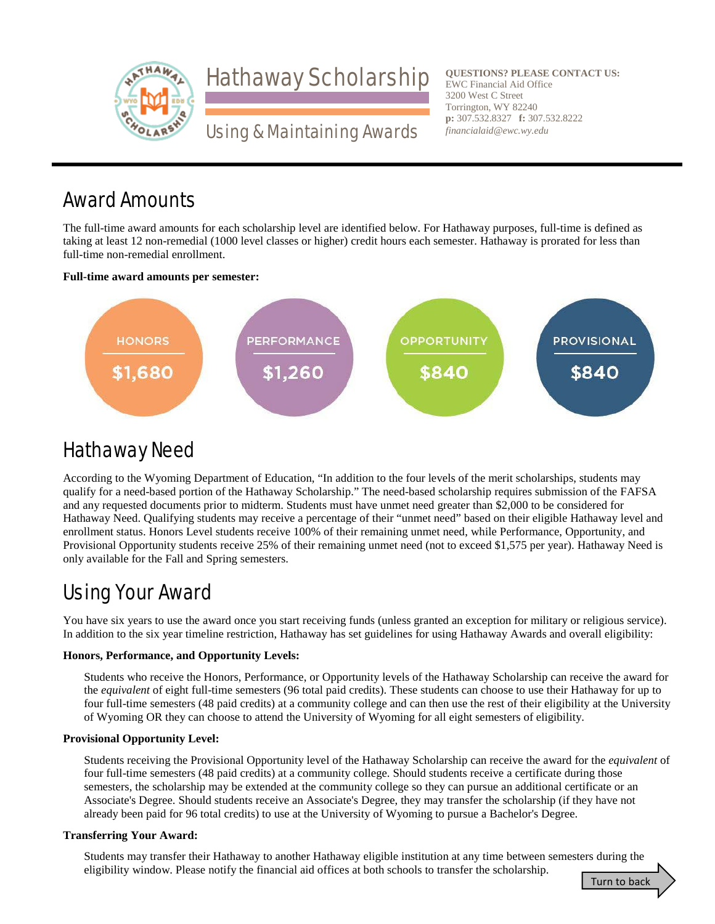

**QUESTIONS? PLEASE CONTACT US: QUESTIONS? PLEASE CONTACT US:**EWC Financial Aid Office EWC Financial Aid Office 3200 West C Street Torrington, WY 82240 3200 West C StreetTorrington, WY 82240**p:** 307.532.8327 **f:** 307.532.8222 *financialaid@ewc.wy.edu*

## Award Amounts

The full-time award amounts for each scholarship level are identified below. For Hathaway purposes, full-time is defined as taking at least 12 non-remedial (1000 level classes or higher) credit hours each semester. Hathaway is prorated for less than full-time non-remedial enrollment.

### **Full-time award amounts per semester:**



# Hathaway Need

According to the Wyoming Department of Education, "In addition to the four levels of the merit scholarships, students may qualify for a need-based portion of the Hathaway Scholarship." The need-based scholarship requires submission of the FAFSA and any requested documents prior to midterm. Students must have unmet need greater than \$2,000 to be considered for Hathaway Need. Qualifying students may receive a percentage of their "unmet need" based on their eligible Hathaway level and enrollment status. Honors Level students receive 100% of their remaining unmet need, while Performance, Opportunity, and Provisional Opportunity students receive 25% of their remaining unmet need (not to exceed \$1,575 per year). Hathaway Need is only available for the Fall and Spring semesters.

# Using Your Award

You have six years to use the award once you start receiving funds (unless granted an exception for military or religious service). In addition to the six year timeline restriction, Hathaway has set guidelines for using Hathaway Awards and overall eligibility:

## **Honors, Performance, and Opportunity Levels:**

Students who receive the Honors, Performance, or Opportunity levels of the Hathaway Scholarship can receive the award for the *equivalent* of eight full-time semesters (96 total paid credits). These students can choose to use their Hathaway for up to four full-time semesters (48 paid credits) at a community college and can then use the rest of their eligibility at the University of Wyoming OR they can choose to attend the University of Wyoming for all eight semesters of eligibility.

## **Provisional Opportunity Level:**

Students receiving the Provisional Opportunity level of the Hathaway Scholarship can receive the award for the *equivalent* of four full-time semesters (48 paid credits) at a community college. Should students receive a certificate during those semesters, the scholarship may be extended at the community college so they can pursue an additional certificate or an Associate's Degree. Should students receive an Associate's Degree, they may transfer the scholarship (if they have not already been paid for 96 total credits) to use at the University of Wyoming to pursue a Bachelor's Degree.

## **Transferring Your Award:**

Students may transfer their Hathaway to another Hathaway eligible institution at any time between semesters during the eligibility window. Please notify the financial aid offices at both schools to transfer the scholarship.

Turn to back